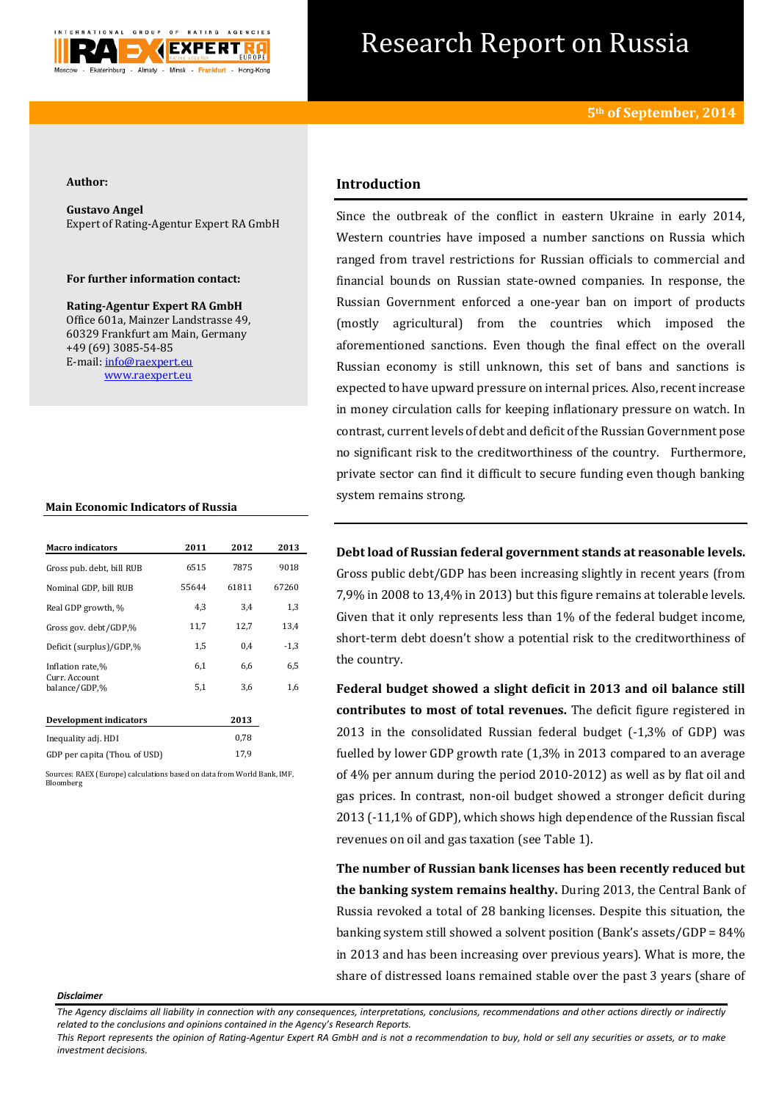

# Research Report on Russia

#### **Author:**

**Gustavo Angel**  Expert of Rating-Agentur Expert RA GmbH

### **For further information contact:**

**Rating-Agentur Expert RA GmbH** Office 601a, Mainzer Landstrasse 49, 60329 Frankfurt am Main, Germany +49 (69) 3085-54-85 E-mail[: info@raexpert.eu](mailto:info@raexpert.eu) [www.raexpert.eu](http://raexpert.eu/)

## **Main Economic Indicators of Russia**

| <b>Macro</b> indicators        | 2011  | 2012  | 2013   |
|--------------------------------|-------|-------|--------|
| Gross pub. debt, bill RUB      | 6515  | 7875  | 9018   |
| Nominal GDP, bill RUB          | 55644 | 61811 | 67260  |
| Real GDP growth, %             | 4,3   | 3,4   | 1,3    |
| Gross gov. debt/GDP,%          | 11,7  | 12,7  | 13,4   |
| Deficit (surplus)/GDP,%        | 1,5   | 0.4   | $-1,3$ |
| Inflation rate,%               | 6,1   | 6,6   | 6,5    |
| Curr. Account<br>balance/GDP,% | 5,1   | 3,6   | 1,6    |
| Development indicators         |       | 2013  |        |
| Inequality adj. HDI            |       | 0,78  |        |
| GDP per capita (Thou. of USD)  |       | 17.9  |        |

Sources: RAEX (Europe) calculations based on data from World Bank, IMF, Bloomberg

# **Introduction**

Since the outbreak of the conflict in eastern Ukraine in early 2014, Western countries have imposed a number sanctions on Russia which ranged from travel restrictions for Russian officials to commercial and financial bounds on Russian state-owned companies. In response, the Russian Government enforced a one-year ban on import of products (mostly agricultural) from the countries which imposed the aforementioned sanctions. Even though the final effect on the overall Russian economy is still unknown, this set of bans and sanctions is expected to have upward pressure on internal prices. Also, recent increase in money circulation calls for keeping inflationary pressure on watch. In contrast, current levels of debt and deficit of the Russian Government pose no significant risk to the creditworthiness of the country. Furthermore, private sector can find it difficult to secure funding even though banking system remains strong.

**Debt load of Russian federal government stands at reasonable levels.**  Gross public debt/GDP has been increasing slightly in recent years (from 7,9% in 2008 to 13,4% in 2013) but this figure remains at tolerable levels. Given that it only represents less than 1% of the federal budget income, short-term debt doesn't show a potential risk to the creditworthiness of the country.

**Federal budget showed a slight deficit in 2013 and oil balance still contributes to most of total revenues.** The deficit figure registered in 2013 in the consolidated Russian federal budget (-1,3% of GDP) was fuelled by lower GDP growth rate (1,3% in 2013 compared to an average of 4% per annum during the period 2010-2012) as well as by flat oil and gas prices. In contrast, non-oil budget showed a stronger deficit during 2013 (-11,1% of GDP), which shows high dependence of the Russian fiscal revenues on oil and gas taxation (see Table 1).

**The number of Russian bank licenses has been recently reduced but the banking system remains healthy.** During 2013, the Central Bank of Russia revoked a total of 28 banking licenses. Despite this situation, the banking system still showed a solvent position (Bank's assets/GDP = 84% in 2013 and has been increasing over previous years). What is more, the share of distressed loans remained stable over the past 3 years (share of

#### *Disclaimer*

*The Agency disclaims all liability in connection with any consequences, interpretations, conclusions, recommendations and other actions directly or indirectly related to the conclusions and opinions contained in the Agency's Research Reports.*

*This Report represents the opinion of Rating-Agentur Expert RA GmbH and is not a recommendation to buy, hold or sell any securities or assets, or to make investment decisions.*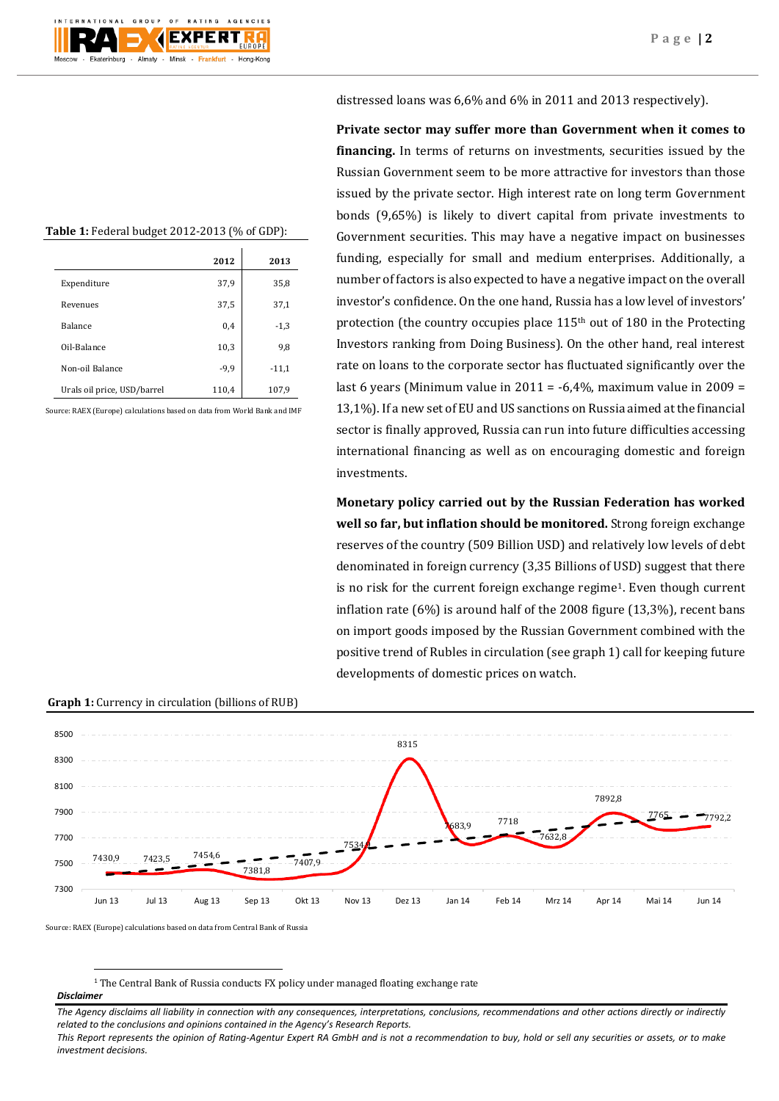# distressed loans was 6,6% and 6% in 2011 and 2013 respectively).

**Table 1:** Federal budget 2012-2013 (% of GDP):

|                             | 2012   | 2013    |  |
|-----------------------------|--------|---------|--|
| Expenditure                 | 37,9   | 35,8    |  |
| Revenues                    | 37,5   | 37,1    |  |
| <b>Balance</b>              | 0,4    | $-1,3$  |  |
| Oil-Balance                 | 10,3   | 9,8     |  |
| Non-oil Balance             | $-9,9$ | $-11,1$ |  |
| Urals oil price, USD/barrel | 110,4  | 107,9   |  |

Source: RAEX (Europe) calculations based on data from World Bank and IMF

**Private sector may suffer more than Government when it comes to financing.** In terms of returns on investments, securities issued by the Russian Government seem to be more attractive for investors than those issued by the private sector. High interest rate on long term Government bonds (9,65%) is likely to divert capital from private investments to Government securities. This may have a negative impact on businesses funding, especially for small and medium enterprises. Additionally, a number of factors is also expected to have a negative impact on the overall investor's confidence. On the one hand, Russia has a low level of investors' protection (the country occupies place 115<sup>th</sup> out of 180 in the Protecting Investors ranking from Doing Business). On the other hand, real interest rate on loans to the corporate sector has fluctuated significantly over the last 6 years (Minimum value in 2011 =  $-6,4\%$ , maximum value in 2009 = 13,1%). If a new set of EU and US sanctions on Russia aimed at the financial sector is finally approved, Russia can run into future difficulties accessing international financing as well as on encouraging domestic and foreign investments.

**Monetary policy carried out by the Russian Federation has worked well so far, but inflation should be monitored.** Strong foreign exchange reserves of the country (509 Billion USD) and relatively low levels of debt denominated in foreign currency (3,35 Billions of USD) suggest that there is no risk for the current foreign exchange regime1. Even though current inflation rate (6%) is around half of the 2008 figure (13,3%), recent bans on import goods imposed by the Russian Government combined with the positive trend of Rubles in circulation (see graph 1) call for keeping future developments of domestic prices on watch.

#### **Graph 1:** Currency in circulation (billions of RUB)



Source: RAEX (Europe) calculations based on data from Central Bank of Russia

<sup>1</sup> The Central Bank of Russia conducts FX policy under managed floating exchange rate

#### *Disclaimer*

**.** 

*The Agency disclaims all liability in connection with any consequences, interpretations, conclusions, recommendations and other actions directly or indirectly related to the conclusions and opinions contained in the Agency's Research Reports.*

*This Report represents the opinion of Rating-Agentur Expert RA GmbH and is not a recommendation to buy, hold or sell any securities or assets, or to make investment decisions.*